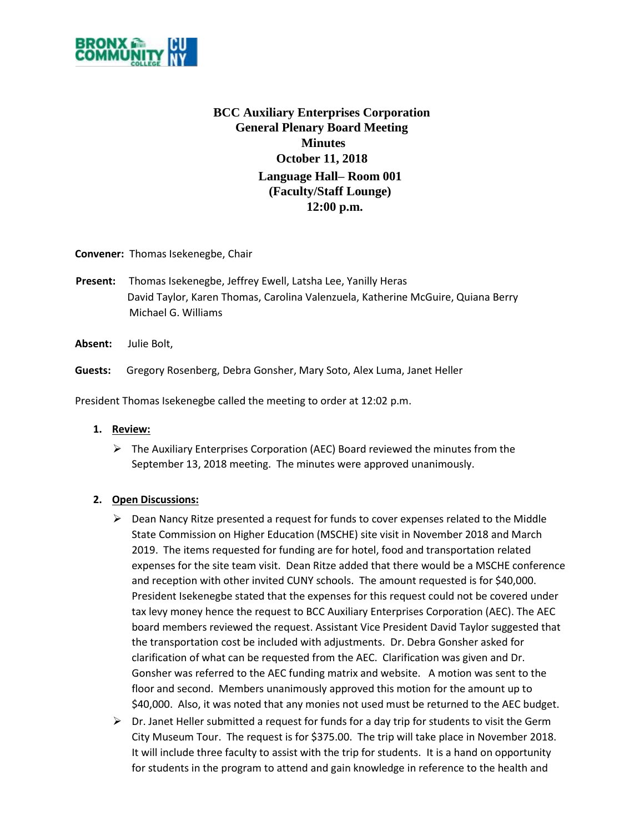

## **BCC Auxiliary Enterprises Corporation General Plenary Board Meeting Minutes October 11, 2018 Language Hall– Room 001 (Faculty/Staff Lounge) 12:00 p.m.**

**Convener:** Thomas Isekenegbe, Chair

- **Present:** Thomas Isekenegbe, Jeffrey Ewell, Latsha Lee, Yanilly Heras David Taylor, Karen Thomas, Carolina Valenzuela, Katherine McGuire, Quiana Berry Michael G. Williams
- **Absent:** Julie Bolt,

**Guests:** Gregory Rosenberg, Debra Gonsher, Mary Soto, Alex Luma, Janet Heller

President Thomas Isekenegbe called the meeting to order at 12:02 p.m.

## **1. Review:**

 $\triangleright$  The Auxiliary Enterprises Corporation (AEC) Board reviewed the minutes from the September 13, 2018 meeting. The minutes were approved unanimously.

## **2. Open Discussions:**

- $\triangleright$  Dean Nancy Ritze presented a request for funds to cover expenses related to the Middle State Commission on Higher Education (MSCHE) site visit in November 2018 and March 2019. The items requested for funding are for hotel, food and transportation related expenses for the site team visit. Dean Ritze added that there would be a MSCHE conference and reception with other invited CUNY schools. The amount requested is for \$40,000. President Isekenegbe stated that the expenses for this request could not be covered under tax levy money hence the request to BCC Auxiliary Enterprises Corporation (AEC). The AEC board members reviewed the request. Assistant Vice President David Taylor suggested that the transportation cost be included with adjustments. Dr. Debra Gonsher asked for clarification of what can be requested from the AEC. Clarification was given and Dr. Gonsher was referred to the AEC funding matrix and website. A motion was sent to the floor and second. Members unanimously approved this motion for the amount up to \$40,000. Also, it was noted that any monies not used must be returned to the AEC budget.
- $\triangleright$  Dr. Janet Heller submitted a request for funds for a day trip for students to visit the Germ City Museum Tour. The request is for \$375.00. The trip will take place in November 2018. It will include three faculty to assist with the trip for students. It is a hand on opportunity for students in the program to attend and gain knowledge in reference to the health and